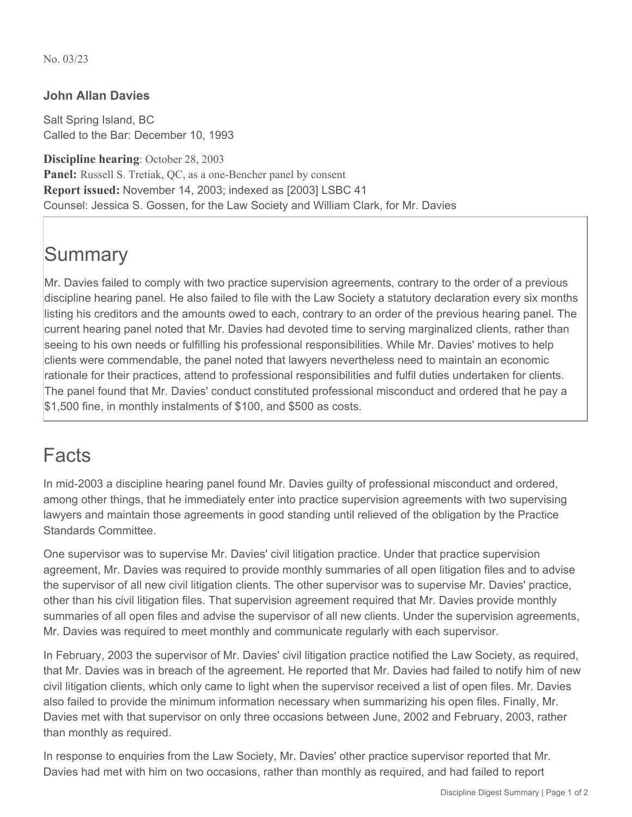No. 03/23

#### **John Allan Davies**

Salt Spring Island, BC Called to the Bar: December 10, 1993

**Discipline hearing**: October 28, 2003 **Panel:** Russell S. Tretiak, QC, as a one-Bencher panel by consent **Report issued:** November 14, 2003; indexed as [2003] LSBC 41 Counsel: Jessica S. Gossen, for the Law Society and William Clark, for Mr. Davies

# **Summary**

Mr. Davies failed to comply with two practice supervision agreements, contrary to the order of a previous discipline hearing panel. He also failed to file with the Law Society a statutory declaration every six months listing his creditors and the amounts owed to each, contrary to an order of the previous hearing panel. The current hearing panel noted that Mr. Davies had devoted time to serving marginalized clients, rather than seeing to his own needs or fulfilling his professional responsibilities. While Mr. Davies' motives to help clients were commendable, the panel noted that lawyers nevertheless need to maintain an economic rationale for their practices, attend to professional responsibilities and fulfil duties undertaken for clients. The panel found that Mr. Davies' conduct constituted professional misconduct and ordered that he pay a \$1,500 fine, in monthly instalments of \$100, and \$500 as costs.

### Facts

In mid-2003 a discipline hearing panel found Mr. Davies guilty of professional misconduct and ordered, among other things, that he immediately enter into practice supervision agreements with two supervising lawyers and maintain those agreements in good standing until relieved of the obligation by the Practice Standards Committee.

One supervisor was to supervise Mr. Davies' civil litigation practice. Under that practice supervision agreement, Mr. Davies was required to provide monthly summaries of all open litigation files and to advise the supervisor of all new civil litigation clients. The other supervisor was to supervise Mr. Davies' practice, other than his civil litigation files. That supervision agreement required that Mr. Davies provide monthly summaries of all open files and advise the supervisor of all new clients. Under the supervision agreements, Mr. Davies was required to meet monthly and communicate regularly with each supervisor.

In February, 2003 the supervisor of Mr. Davies' civil litigation practice notified the Law Society, as required, that Mr. Davies was in breach of the agreement. He reported that Mr. Davies had failed to notify him of new civil litigation clients, which only came to light when the supervisor received a list of open files. Mr. Davies also failed to provide the minimum information necessary when summarizing his open files. Finally, Mr. Davies met with that supervisor on only three occasions between June, 2002 and February, 2003, rather than monthly as required.

In response to enquiries from the Law Society, Mr. Davies' other practice supervisor reported that Mr. Davies had met with him on two occasions, rather than monthly as required, and had failed to report